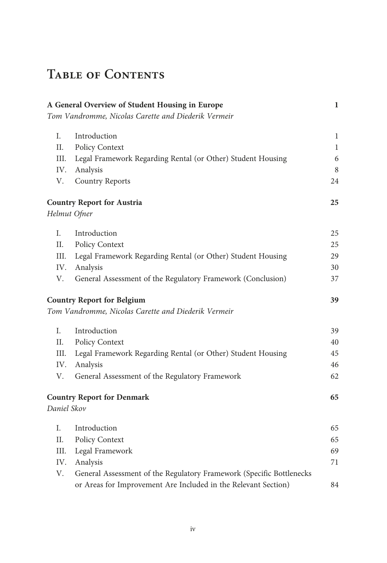## TABLE OF CONTENTS

| A General Overview of Student Housing in Europe |                                                                      | 1            |
|-------------------------------------------------|----------------------------------------------------------------------|--------------|
|                                                 | Tom Vandromme, Nicolas Carette and Diederik Vermeir                  |              |
| I.                                              | Introduction                                                         | $\mathbf{1}$ |
| II.                                             | Policy Context                                                       | 1            |
| III.                                            | Legal Framework Regarding Rental (or Other) Student Housing          | 6            |
| IV.                                             | Analysis                                                             | $\,8\,$      |
| V.                                              | <b>Country Reports</b>                                               | 24           |
|                                                 | <b>Country Report for Austria</b>                                    | 25           |
|                                                 | Helmut Ofner                                                         |              |
| I.                                              | Introduction                                                         | 25           |
| II.                                             | Policy Context                                                       | 25           |
| III.                                            | Legal Framework Regarding Rental (or Other) Student Housing          | 29           |
| IV.                                             | Analysis                                                             | 30           |
| V.                                              | General Assessment of the Regulatory Framework (Conclusion)          | 37           |
|                                                 | <b>Country Report for Belgium</b>                                    | 39           |
|                                                 | Tom Vandromme, Nicolas Carette and Diederik Vermeir                  |              |
| I.                                              | Introduction                                                         | 39           |
| П.                                              | Policy Context                                                       | 40           |
| III.                                            | Legal Framework Regarding Rental (or Other) Student Housing          | 45           |
| IV.                                             | Analysis                                                             | 46           |
| V.                                              | General Assessment of the Regulatory Framework                       | 62           |
|                                                 | <b>Country Report for Denmark</b>                                    | 65           |
| Daniel Skov                                     |                                                                      |              |
| I.                                              | Introduction                                                         | 65           |
| II.                                             | Policy Context                                                       | 65           |
| III.                                            | Legal Framework                                                      | 69           |
| IV.                                             | Analysis                                                             | 71           |
| V.                                              | General Assessment of the Regulatory Framework (Specific Bottlenecks |              |
|                                                 | or Areas for Improvement Are Included in the Relevant Section)       | 84           |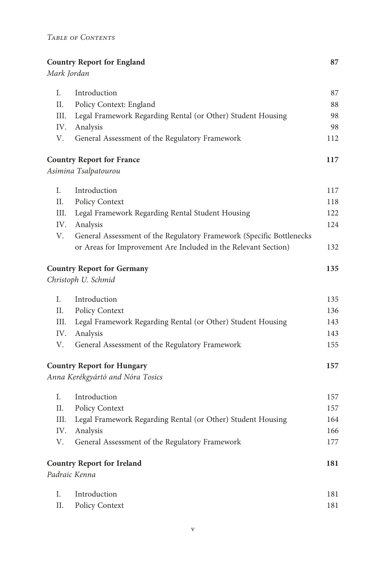## Country Report for England 87

Mark Jordan

| I.   | Introduction                                                         | 87  |
|------|----------------------------------------------------------------------|-----|
| II.  | Policy Context: England                                              | 88  |
| III. | Legal Framework Regarding Rental (or Other) Student Housing          | 98  |
| IV.  | Analysis                                                             | 98  |
| V.   | General Assessment of the Regulatory Framework                       | 112 |
|      | <b>Country Report for France</b>                                     | 117 |
|      | Asimina Tsalpatourou                                                 |     |
| I.   | Introduction                                                         | 117 |
| II.  | Policy Context                                                       | 118 |
| III. | Legal Framework Regarding Rental Student Housing                     | 122 |
| IV.  | Analysis                                                             | 124 |
| V.   | General Assessment of the Regulatory Framework (Specific Bottlenecks |     |
|      | or Areas for Improvement Are Included in the Relevant Section)       | 132 |
|      | <b>Country Report for Germany</b>                                    | 135 |
|      | Christoph U. Schmid                                                  |     |
| Ι.   | Introduction                                                         | 135 |
| II.  | Policy Context                                                       | 136 |
| III. | Legal Framework Regarding Rental (or Other) Student Housing          | 143 |
| IV.  | Analysis                                                             | 143 |
| V.   | General Assessment of the Regulatory Framework                       | 155 |
|      | <b>Country Report for Hungary</b>                                    | 157 |
|      | Anna Kerékgyártó and Nóra Tosics                                     |     |
| Ι.   | Introduction                                                         | 157 |
| II.  | Policy Context                                                       | 157 |
| III. | Legal Framework Regarding Rental (or Other) Student Housing          | 164 |
| IV.  | Analysis                                                             | 166 |
| V.   | General Assessment of the Regulatory Framework                       | 177 |
|      | <b>Country Report for Ireland</b>                                    | 181 |
|      | Padraic Kenna                                                        |     |
| L.   | Introduction                                                         | 181 |
| II.  | Policy Context                                                       | 181 |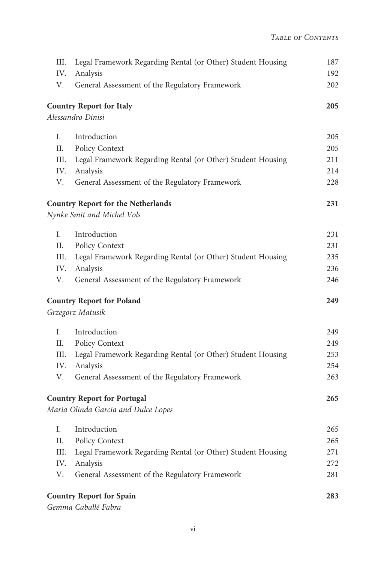| III.                               | Legal Framework Regarding Rental (or Other) Student Housing | 187 |
|------------------------------------|-------------------------------------------------------------|-----|
| IV.                                | Analysis                                                    | 192 |
| V.                                 | General Assessment of the Regulatory Framework              | 202 |
|                                    | <b>Country Report for Italy</b>                             | 205 |
|                                    | Alessandro Dinisi                                           |     |
| Ι.                                 | Introduction                                                | 205 |
| II.                                | Policy Context                                              | 205 |
| III.                               | Legal Framework Regarding Rental (or Other) Student Housing | 211 |
| IV.                                | Analysis                                                    | 214 |
| V.                                 | General Assessment of the Regulatory Framework              | 228 |
|                                    | <b>Country Report for the Netherlands</b>                   | 231 |
|                                    | Nynke Smit and Michel Vols                                  |     |
| I.                                 | Introduction                                                | 231 |
| II.                                | Policy Context                                              | 231 |
| III.                               | Legal Framework Regarding Rental (or Other) Student Housing | 235 |
| IV.                                | Analysis                                                    | 236 |
| V.                                 | General Assessment of the Regulatory Framework              | 246 |
|                                    | <b>Country Report for Poland</b>                            |     |
|                                    | Grzegorz Matusik                                            |     |
| I.                                 | Introduction                                                | 249 |
| II.                                | Policy Context                                              | 249 |
| III.                               | Legal Framework Regarding Rental (or Other) Student Housing | 253 |
| IV.                                | Analysis                                                    | 254 |
| V.                                 | General Assessment of the Regulatory Framework              | 263 |
| <b>Country Report for Portugal</b> |                                                             | 265 |
|                                    | Maria Olinda Garcia and Dulce Lopes                         |     |
|                                    | I. Introduction                                             | 265 |
| Н.                                 | Policy Context                                              | 265 |
| III.                               | Legal Framework Regarding Rental (or Other) Student Housing | 271 |
| IV.                                | Analysis                                                    | 272 |
| V.                                 | General Assessment of the Regulatory Framework              | 281 |
|                                    | <b>Country Report for Spain</b>                             | 283 |
|                                    | Gemma Caballé Fabra                                         |     |